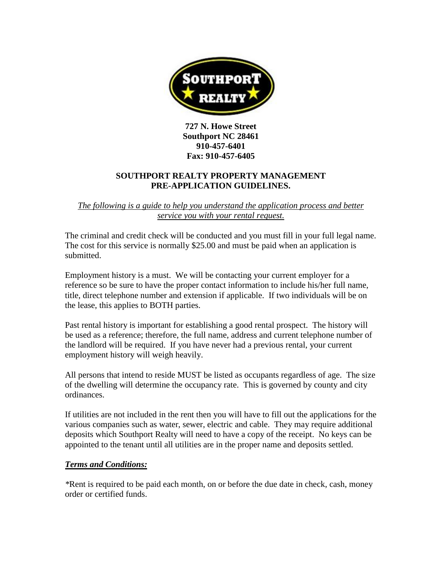

**727 N. Howe Street Southport NC 28461 910-457-6401 Fax: 910-457-6405**

### **SOUTHPORT REALTY PROPERTY MANAGEMENT PRE-APPLICATION GUIDELINES.**

#### *The following is a guide to help you understand the application process and better service you with your rental request.*

The criminal and credit check will be conducted and you must fill in your full legal name. The cost for this service is normally \$25.00 and must be paid when an application is submitted.

Employment history is a must. We will be contacting your current employer for a reference so be sure to have the proper contact information to include his/her full name, title, direct telephone number and extension if applicable. If two individuals will be on the lease, this applies to BOTH parties.

Past rental history is important for establishing a good rental prospect. The history will be used as a reference; therefore, the full name, address and current telephone number of the landlord will be required. If you have never had a previous rental, your current employment history will weigh heavily.

All persons that intend to reside MUST be listed as occupants regardless of age. The size of the dwelling will determine the occupancy rate. This is governed by county and city ordinances.

If utilities are not included in the rent then you will have to fill out the applications for the various companies such as water, sewer, electric and cable. They may require additional deposits which Southport Realty will need to have a copy of the receipt. No keys can be appointed to the tenant until all utilities are in the proper name and deposits settled.

#### *Terms and Conditions:*

*\**Rent is required to be paid each month, on or before the due date in check, cash, money order or certified funds.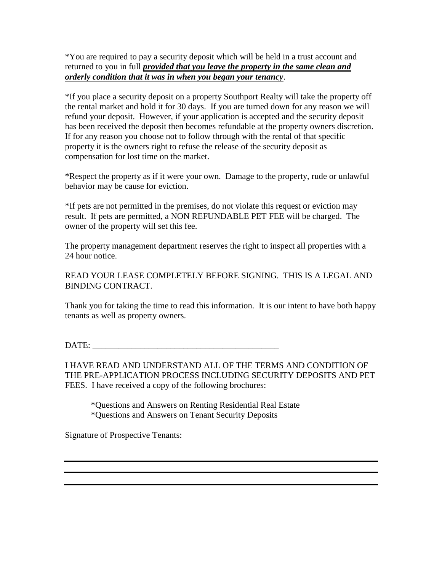\*You are required to pay a security deposit which will be held in a trust account and returned to you in full *provided that you leave the property in the same clean and orderly condition that it was in when you began your tenancy*.

\*If you place a security deposit on a property Southport Realty will take the property off the rental market and hold it for 30 days. If you are turned down for any reason we will refund your deposit. However, if your application is accepted and the security deposit has been received the deposit then becomes refundable at the property owners discretion. If for any reason you choose not to follow through with the rental of that specific property it is the owners right to refuse the release of the security deposit as compensation for lost time on the market.

\*Respect the property as if it were your own. Damage to the property, rude or unlawful behavior may be cause for eviction.

\*If pets are not permitted in the premises, do not violate this request or eviction may result. If pets are permitted, a NON REFUNDABLE PET FEE will be charged. The owner of the property will set this fee.

The property management department reserves the right to inspect all properties with a 24 hour notice.

READ YOUR LEASE COMPLETELY BEFORE SIGNING. THIS IS A LEGAL AND BINDING CONTRACT.

Thank you for taking the time to read this information. It is our intent to have both happy tenants as well as property owners.

DATE:

I HAVE READ AND UNDERSTAND ALL OF THE TERMS AND CONDITION OF THE PRE-APPLICATION PROCESS INCLUDING SECURITY DEPOSITS AND PET FEES. I have received a copy of the following brochures:

\*Questions and Answers on Renting Residential Real Estate \*Questions and Answers on Tenant Security Deposits

Signature of Prospective Tenants: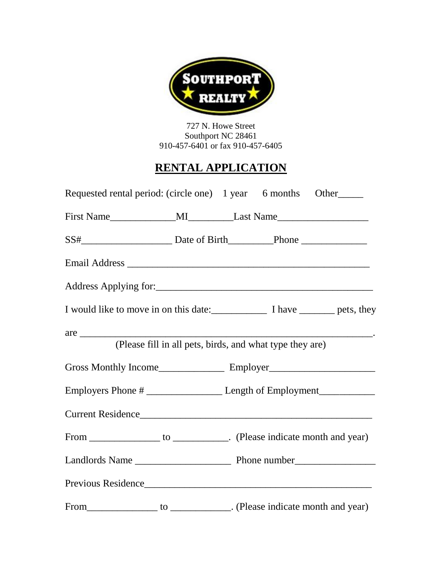

727 N. Howe Street Southport NC 28461 910-457-6401 or fax 910-457-6405

# **RENTAL APPLICATION**

| Requested rental period: (circle one) 1 year 6 months Other               |  |  |
|---------------------------------------------------------------------------|--|--|
|                                                                           |  |  |
|                                                                           |  |  |
|                                                                           |  |  |
|                                                                           |  |  |
| I would like to move in on this date: I have ______________ pets, they    |  |  |
| (Please fill in all pets, birds, and what type they are)                  |  |  |
|                                                                           |  |  |
|                                                                           |  |  |
| Current Residence                                                         |  |  |
| From _________________ to _____________. (Please indicate month and year) |  |  |
|                                                                           |  |  |
| Previous Residence                                                        |  |  |
| From _________________ to _____________. (Please indicate month and year) |  |  |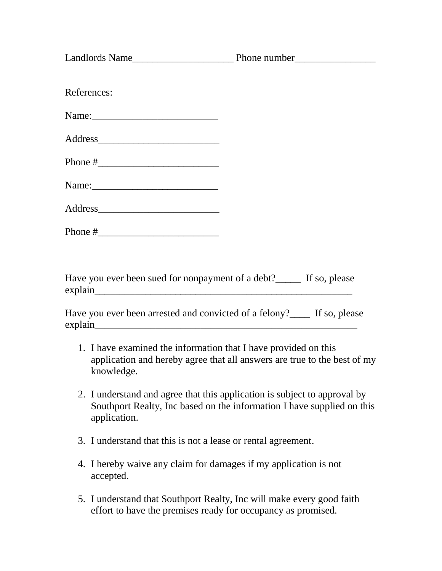| References: |  |  |  |  |
|-------------|--|--|--|--|
|             |  |  |  |  |
|             |  |  |  |  |
|             |  |  |  |  |
| Name:       |  |  |  |  |
|             |  |  |  |  |
|             |  |  |  |  |
|             |  |  |  |  |

Have you ever been sued for nonpayment of a debt?\_\_\_\_\_ If so, please explain

Have you ever been arrested and convicted of a felony? If so, please explain

- 1. I have examined the information that I have provided on this application and hereby agree that all answers are true to the best of my knowledge.
- 2. I understand and agree that this application is subject to approval by Southport Realty, Inc based on the information I have supplied on this application.
- 3. I understand that this is not a lease or rental agreement.
- 4. I hereby waive any claim for damages if my application is not accepted.
- 5. I understand that Southport Realty, Inc will make every good faith effort to have the premises ready for occupancy as promised.